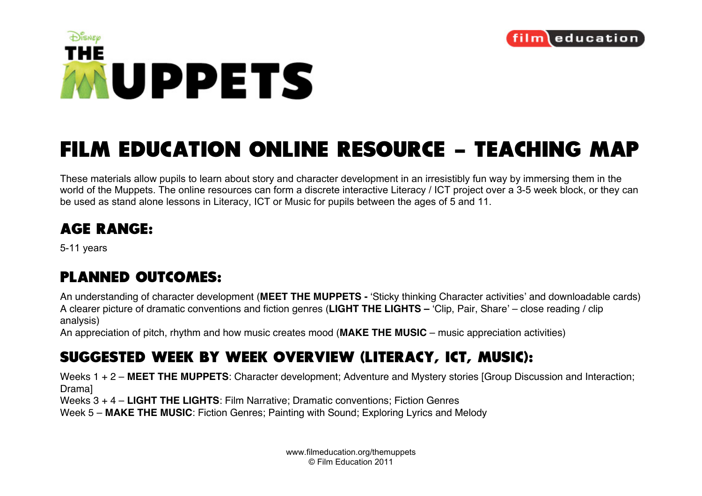



## **FILM EDUCATION ONLINE RESOURCE - TEACHING MAP**

These materials allow pupils to learn about story and character development in an irresistibly fun way by immersing them in the world of the Muppets. The online resources can form a discrete interactive Literacy / ICT project over a 3-5 week block, or they can be used as stand alone lessons in Literacy, ICT or Music for pupils between the ages of 5 and 11.

## **AGE RANGE:**

5-11 years

## **PLANNED OUTCOMES:**

An understanding of character development (**MEET THE MUPPETS -** ʻSticky thinking Character activities' and downloadable cards) A clearer picture of dramatic conventions and fiction genres (**LIGHT THE LIGHTS –** ʻClip, Pair, Share' – close reading / clip analysis)

An appreciation of pitch, rhythm and how music creates mood (**MAKE THE MUSIC** – music appreciation activities)

## **SUGGESTED WEEK BY WEEK OVERVIEW (LITERACY, ICT, MUSIC):**

Weeks 1 + 2 – **MEET THE MUPPETS**: Character development; Adventure and Mystery stories [Group Discussion and Interaction; Drama]

Weeks 3 + 4 – **LIGHT THE LIGHTS**: Film Narrative; Dramatic conventions; Fiction Genres

Week 5 – **MAKE THE MUSIC**: Fiction Genres; Painting with Sound; Exploring Lyrics and Melody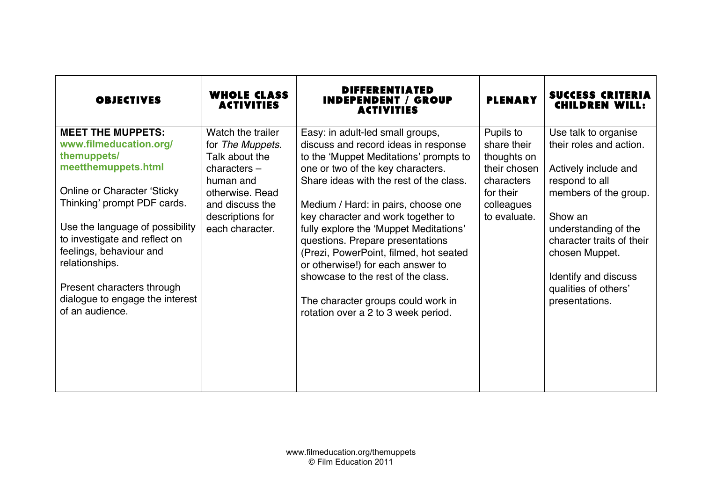| <b>OBJECTIVES</b>                                                                                    | <b>WHOLE CLASS</b><br><b>ACTIVITIES</b>                                                | <b>DIFFERENTIATED</b><br><b>INDEPENDENT / GROUP</b><br>ACTIVITIES                                                                                                                                  | <b>PLENARY</b>                                                        | <b>SUCCESS CRITERIA</b><br><b>CHILDREN WILL:</b>                                          |
|------------------------------------------------------------------------------------------------------|----------------------------------------------------------------------------------------|----------------------------------------------------------------------------------------------------------------------------------------------------------------------------------------------------|-----------------------------------------------------------------------|-------------------------------------------------------------------------------------------|
| <b>MEET THE MUPPETS:</b><br>www.filmeducation.org/<br>themuppets/<br>meetthemuppets.html             | Watch the trailer<br>for The Muppets.<br>Talk about the<br>$characters -$<br>human and | Easy: in adult-led small groups,<br>discuss and record ideas in response<br>to the 'Muppet Meditations' prompts to<br>one or two of the key characters.<br>Share ideas with the rest of the class. | Pupils to<br>share their<br>thoughts on<br>their chosen<br>characters | Use talk to organise<br>their roles and action.<br>Actively include and<br>respond to all |
| <b>Online or Character 'Sticky</b><br>Thinking' prompt PDF cards.<br>Use the language of possibility | otherwise, Read<br>and discuss the<br>descriptions for<br>each character.              | Medium / Hard: in pairs, choose one<br>key character and work together to<br>fully explore the 'Muppet Meditations'                                                                                | for their<br>colleagues<br>to evaluate.                               | members of the group.<br>Show an<br>understanding of the                                  |
| to investigate and reflect on<br>feelings, behaviour and<br>relationships.                           |                                                                                        | questions. Prepare presentations<br>(Prezi, PowerPoint, filmed, hot seated<br>or otherwise!) for each answer to<br>showcase to the rest of the class.                                              |                                                                       | character traits of their<br>chosen Muppet.                                               |
| Present characters through<br>dialogue to engage the interest<br>of an audience.                     |                                                                                        | The character groups could work in<br>rotation over a 2 to 3 week period.                                                                                                                          |                                                                       | Identify and discuss<br>qualities of others'<br>presentations.                            |
|                                                                                                      |                                                                                        |                                                                                                                                                                                                    |                                                                       |                                                                                           |
|                                                                                                      |                                                                                        |                                                                                                                                                                                                    |                                                                       |                                                                                           |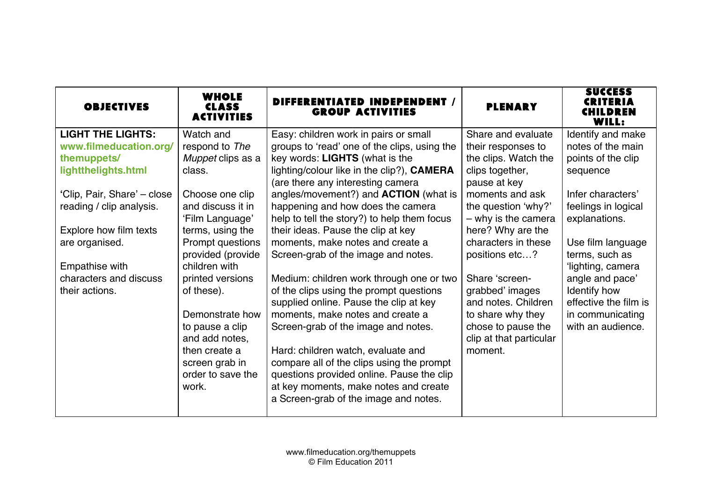| <b>OBJECTIVES</b>           | <b>WHOLE</b><br><b>CLASS</b><br><b>ACTIVITIES</b> | DIFFERENTIATED INDEPENDENT /<br><b>GROUP ACTIVITIES</b>                                                                     | <b>PLENARY</b>          | <b>SUCCESS</b><br>CRITERIA<br>CHILDREN<br>WILL: |
|-----------------------------|---------------------------------------------------|-----------------------------------------------------------------------------------------------------------------------------|-------------------------|-------------------------------------------------|
| <b>LIGHT THE LIGHTS:</b>    | Watch and                                         | Easy: children work in pairs or small                                                                                       | Share and evaluate      | Identify and make                               |
| www.filmeducation.org/      | respond to The                                    | groups to 'read' one of the clips, using the                                                                                | their responses to      | notes of the main                               |
| themuppets/                 | Muppet clips as a                                 | key words: LIGHTS (what is the                                                                                              | the clips. Watch the    | points of the clip                              |
| lightthelights.html         | class.                                            | lighting/colour like in the clip?), <b>CAMERA</b>                                                                           | clips together,         | sequence                                        |
|                             |                                                   | (are there any interesting camera                                                                                           | pause at key            |                                                 |
| 'Clip, Pair, Share' – close | Choose one clip                                   | angles/movement?) and <b>ACTION</b> (what is                                                                                | moments and ask         | Infer characters'                               |
| reading / clip analysis.    | and discuss it in                                 | happening and how does the camera                                                                                           | the question 'why?'     | feelings in logical                             |
|                             | 'Film Language'                                   | help to tell the story?) to help them focus                                                                                 | $-$ why is the camera   | explanations.                                   |
| Explore how film texts      | terms, using the                                  | their ideas. Pause the clip at key                                                                                          | here? Why are the       |                                                 |
| are organised.              | Prompt questions                                  | moments, make notes and create a                                                                                            | characters in these     | Use film language                               |
|                             | provided (provide                                 | Screen-grab of the image and notes.                                                                                         | positions etc?          | terms, such as                                  |
| Empathise with              | children with                                     |                                                                                                                             |                         | 'lighting, camera                               |
| characters and discuss      | printed versions                                  | Medium: children work through one or two                                                                                    | Share 'screen-          | angle and pace'                                 |
| their actions.              | of these).                                        | of the clips using the prompt questions                                                                                     | grabbed' images         | Identify how                                    |
|                             |                                                   | supplied online. Pause the clip at key                                                                                      | and notes. Children     | effective the film is                           |
|                             | Demonstrate how                                   | moments, make notes and create a                                                                                            | to share why they       | in communicating                                |
|                             | to pause a clip                                   | Screen-grab of the image and notes.                                                                                         | chose to pause the      | with an audience.                               |
|                             | and add notes,                                    |                                                                                                                             | clip at that particular |                                                 |
|                             | then create a                                     | Hard: children watch, evaluate and                                                                                          | moment.                 |                                                 |
|                             | screen grab in                                    | compare all of the clips using the prompt                                                                                   |                         |                                                 |
|                             |                                                   |                                                                                                                             |                         |                                                 |
|                             |                                                   |                                                                                                                             |                         |                                                 |
|                             |                                                   |                                                                                                                             |                         |                                                 |
|                             | order to save the<br>work.                        | questions provided online. Pause the clip<br>at key moments, make notes and create<br>a Screen-grab of the image and notes. |                         |                                                 |